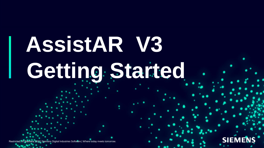# **AssistAR V3** Getting Started

Restricted | © Siemens 2021| Siemens Digital Industries Software | Where today meets tomorrow.

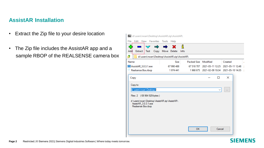#### **AssistAR Installation**

- Extract the Zip file to your desire location
- The Zip file includes the AssistAR app and a sample RBOP of the REALSENSE camera box



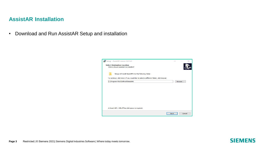#### **AssistAR Installation**

• Download and Run AssistAR Setup and installation

| Setup - AssistAR version 3.0.1.24                                                      |        |
|----------------------------------------------------------------------------------------|--------|
| <b>Select Destination Location</b><br>Where should AssistAR be installed?              |        |
| Setup will install AssistAR into the following folder.                                 |        |
| To continue, click Next. If you would like to select a different folder, click Browse. |        |
| C: \Program Files\SkillReal\AssistAR                                                   | Browse |
|                                                                                        |        |
|                                                                                        |        |
|                                                                                        |        |
|                                                                                        |        |
|                                                                                        |        |
|                                                                                        |        |
|                                                                                        |        |
| At least 487.1 MB of free disk space is required.                                      |        |
| <b>Next</b>                                                                            | Cancel |

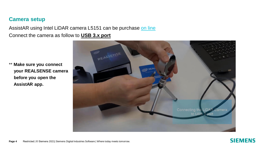#### **Camera setup**

AssistAR using Intel LiDAR camera L5151 can be purchase [on line](https://www.intelrealsense.com/lidar-camera-l515/)  Connect the camera as follow to **USB 3.x port**

\*\* **Make sure you connect your REALSENSE camera before you open the AssistAR app.**



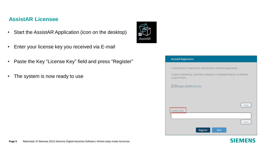#### **AssistAR Licensee**

- Start the AssistAR Application (icon on the desktop)
- Enter your license key you received via E-mail
- Paste the Key "License Key" field and press "Register"
- The system is now ready to use



#### **AssistAR Registration**

| A license key is required to activate your AssistAR application.                          |  |
|-------------------------------------------------------------------------------------------|--|
| To get a license key, send the computer ID displayed below, to SkillReal<br>support team. |  |
| √Support@skillreal.com                                                                    |  |
|                                                                                           |  |
|                                                                                           |  |
| Copy                                                                                      |  |
| License Key                                                                               |  |
| Paste                                                                                     |  |
| Register<br>Quit                                                                          |  |

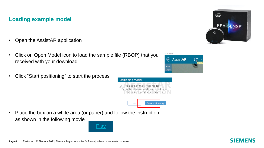### **Loading example model**

- Open the AssistAR application
- Click on Open Model icon to load the sample file (RBOP) that you received with your download.
- Click "Start positioning" to start the process



Later

Start position

• Place the box on a white area (or paper) and follow the instruction as shown in the following movie





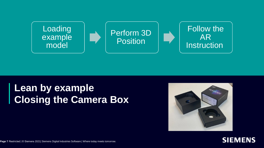

## **Lean by example Closing the Camera Box**





**Page 7** Restricted | © Siemens 2021| Siemens Digital Industries Software | Where today meets tomorrow.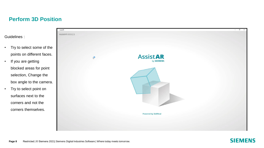#### **Perform 3D Position**

Guidelines :

- Try to select some of the points on different faces.
- If you are getting blocked areas for point selection, Change the box angle to the camera.
- Try to select point on surfaces next to the corners and not the corners themselves.



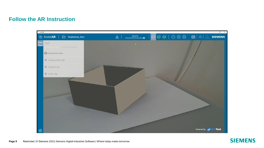#### **Follow the AR Instruction**



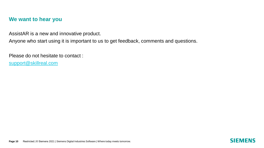#### **We want to hear you**

AssistAR is a new and innovative product.

Anyone who start using it is important to us to get feedback, comments and questions.

Please do not hesitate to contact : [support@skillreal.com](mailto:support@skillreal.com)

**Page 10** Restricted | © Siemens 2021 | Siemens Digital Industries Software | Where today meets tomorrow.

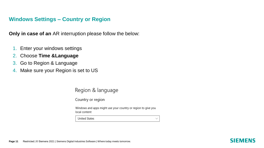#### **Windows Settings – Country or Region**

**Only in case of an** AR interruption please follow the below:

- 1. Enter your windows settings
- 2. Choose **Time &Language**
- 3. Go to Region & Language
- 4. Make sure your Region is set to US

Region & language

Country or region

Windows and apps might use your country or region to give you local content

 $\checkmark$ 

**United States**